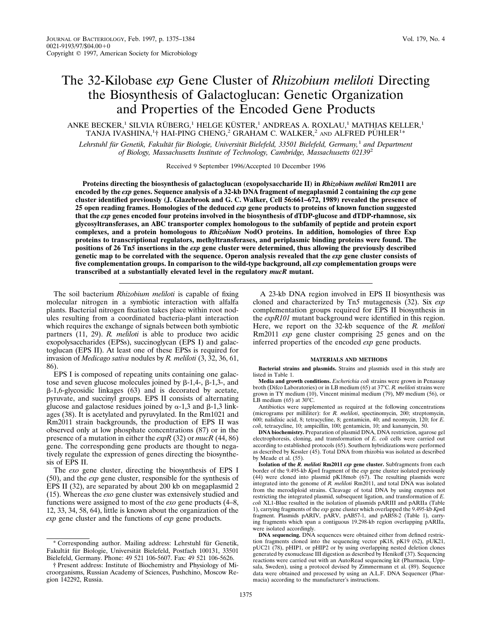# The 32-Kilobase *exp* Gene Cluster of *Rhizobium meliloti* Directing the Biosynthesis of Galactoglucan: Genetic Organization and Properties of the Encoded Gene Products

ANKE BECKER,<sup>1</sup> SILVIA RÜBERG,<sup>1</sup> HELGE KÜSTER,<sup>1</sup> ANDREAS A. ROXLAU,<sup>1</sup> MATHIAS KELLER,<sup>1</sup> TANJA IVASHINA,<sup>1</sup>† HAI-PING CHENG,<sup>2</sup> GRAHAM C. WALKER,<sup>2</sup> and ALFRED PÜHLER<sup>1\*</sup>

*Lehrstuhl fu¨r Genetik, Fakulta¨t fu¨r Biologie, Universita¨t Bielefeld, 33501 Bielefeld, Germany,*<sup>1</sup> *and Department of Biology, Massachusetts Institute of Technology, Cambridge, Massachusetts 02139*<sup>2</sup>

Received 9 September 1996/Accepted 10 December 1996

**Proteins directing the biosynthesis of galactoglucan (exopolysaccharide II) in** *Rhizobium meliloti* **Rm2011 are encoded by the** *exp* **genes. Sequence analysis of a 32-kb DNA fragment of megaplasmid 2 containing the** *exp* **gene cluster identified previously (J. Glazebrook and G. C. Walker, Cell 56:661–672, 1989) revealed the presence of 25 open reading frames. Homologies of the deduced** *exp* **gene products to proteins of known function suggested that the** *exp* **genes encoded four proteins involved in the biosynthesis of dTDP-glucose and dTDP-rhamnose, six glycosyltransferases, an ABC transporter complex homologous to the subfamily of peptide and protein export complexes, and a protein homologous to** *Rhizobium* **NodO proteins. In addition, homologies of three Exp proteins to transcriptional regulators, methyltransferases, and periplasmic binding proteins were found. The positions of 26 Tn***5* **insertions in the** *exp* **gene cluster were determined, thus allowing the previously described genetic map to be correlated with the sequence. Operon analysis revealed that the** *exp* **gene cluster consists of five complementation groups. In comparison to the wild-type background, all** *exp* **complementation groups were transcribed at a substantially elevated level in the regulatory** *mucR* **mutant.**

The soil bacterium *Rhizobium meliloti* is capable of fixing molecular nitrogen in a symbiotic interaction with alfalfa plants. Bacterial nitrogen fixation takes place within root nodules resulting from a coordinated bacteria-plant interaction which requires the exchange of signals between both symbiotic partners (11, 29). *R. meliloti* is able to produce two acidic exopolysaccharides (EPSs), succinoglycan (EPS I) and galactoglucan (EPS II). At least one of these EPSs is required for invasion of *Medicago sativa* nodules by *R. meliloti* (3, 32, 36, 61, 86).

EPS I is composed of repeating units containing one galactose and seven glucose molecules joined by  $\beta$ -1,4-,  $\beta$ -1,3-, and  $\beta$ -1,6-glycosidic linkages (63) and is decorated by acetate, pyruvate, and succinyl groups. EPS II consists of alternating glucose and galactose residues joined by  $\alpha$ -1,3 and  $\beta$ -1,3 linkages (38). It is acetylated and pyruvylated. In the Rm1021 and Rm2011 strain backgrounds, the production of EPS II was observed only at low phosphate concentrations (87) or in the presence of a mutation in either the *expR* (32) or *mucR* (44, 86) gene. The corresponding gene products are thought to negatively regulate the expression of genes directing the biosynthesis of EPS II.

The *exo* gene cluster, directing the biosynthesis of EPS I (50), and the *exp* gene cluster, responsible for the synthesis of EPS II (32), are separated by about 200 kb on megaplasmid 2 (15). Whereas the *exo* gene cluster was extensively studied and functions were assigned to most of the *exo* gene products (4–8, 12, 33, 34, 58, 64), little is known about the organization of the *exp* gene cluster and the functions of *exp* gene products.

A 23-kb DNA region involved in EPS II biosynthesis was cloned and characterized by Tn*5* mutagenesis (32). Six *exp* complementation groups required for EPS II biosynthesis in the *expR101* mutant background were identified in this region. Here, we report on the 32-kb sequence of the *R. meliloti* Rm2011 *exp* gene cluster comprising 25 genes and on the inferred properties of the encoded *exp* gene products.

#### **MATERIALS AND METHODS**

**Bacterial strains and plasmids.** Strains and plasmids used in this study are listed in Table 1.

**Media and growth conditions.** *Escherichia coli* strains were grown in Penassay broth (Difco Laboratories) or in LB medium (65) at 37°C. *R. meliloti* strains were grown in TY medium (10), Vincent minimal medium (79), M9 medium (56), or<br>LB medium (65) at 30°C.

Antibiotics were supplemented as required at the following concentrations (micrograms per milliliter): for *R. meliloti*, spectinomycin, 200; streptomycin, 600; nalidixic acid, 8; tetracycline, 8; gentamicin, 40; and neomycin, 120; for *E. coli*, tetracycline, 10; ampicillin, 100; gentamicin, 10; and kanamycin, 50.

**DNA biochemistry.** Preparation of plasmid DNA, DNA restriction, agarose gel electrophoresis, cloning, and transformation of *E. coli* cells were carried out according to established protocols (65). Southern hybridizations were performed as described by Kessler (45). Total DNA from rhizobia was isolated as described by Meade et al. (55).

**Isolation of the** *R. meliloti* **Rm2011** *exp* **gene cluster.** Subfragments from each border of the 9.495-kb *Kpn*I fragment of the *exp* gene cluster isolated previously (44) were cloned into plasmid pK18mob (67). The resulting plasmids were integrated into the genome of *R. meliloti* Rm2011, and total DNA was isolated from the merodiploid strains. Cleavage of total DNA by using enzymes not restricting the integrated plasmid, subsequent ligation, and transformation of *E. coli* XL1-Blue resulted in the isolation of plasmids pARIII and pARIIa (Table 1), carrying fragments of the *exp* gene cluster which overlapped the 9.495-kb *Kpn*I fragment. Plasmids pARIV, pARV, pAB57-1, and pAB58-2 (Table 1), carrying fragments which span a contiguous 19.298-kb region overlapping pARIIa, were isolated accordingly.

<sup>\*</sup> Corresponding author. Mailing address: Lehrstuhl für Genetik, Fakultät für Biologie, Universität Bielefeld, Postfach 100131, 33501 Bielefeld, Germany. Phone: 49 521 106-5607. Fax: 49 521 106-5626.

<sup>†</sup> Present address: Institute of Biochemistry and Physiology of Microorganisms, Russian Academy of Sciences, Pushchino, Moscow Region 142292, Russia.

**DNA sequencing.** DNA sequences were obtained either from defined restriction fragments cloned into the sequencing vector pK18, pK19 (62), pUK21, pUC21 (78), pHIP1, or pHIP2 or by using overlapping nested deletion clones generated by exonuclease III digestion as described by Henikoff (37). Sequencing reactions were carried out with an AutoRead sequencing kit (Pharmacia, Uppsala, Sweden), using a protocol devised by Zimmermann et al. (89). Sequence data were obtained and processed by using an A.L.F. DNA Sequencer (Pharmacia) according to the manufacturer's instructions.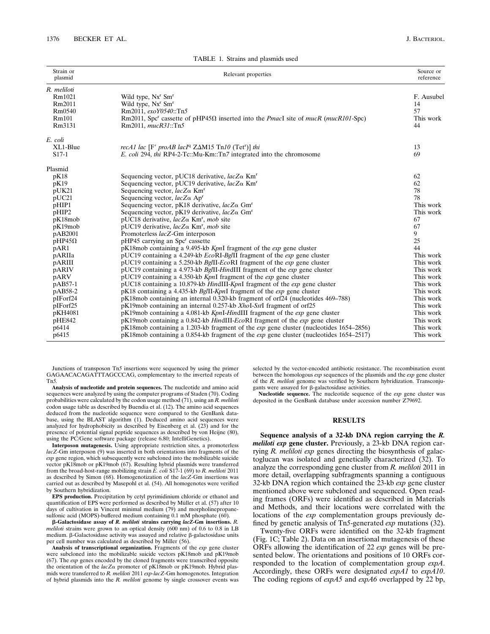| Strain or<br>plasmid            | Relevant properties                                                                                                           | Source or<br>reference |
|---------------------------------|-------------------------------------------------------------------------------------------------------------------------------|------------------------|
| R. meliloti<br>Rm1021<br>Rm2011 | Wild type, Nx <sup>r</sup> Sm <sup>r</sup><br>Wild type, Nx <sup>r</sup> Sm <sup>r</sup>                                      | F. Ausubel<br>14       |
| Rm0540                          | Rm2011. exoY0540::Tn5                                                                                                         | 57                     |
| Rm101                           | Rm2011, Spc <sup>r</sup> cassette of pHP45 $\Omega$ inserted into the <i>PmacI</i> site of <i>mucR</i> ( <i>mucR101</i> -Spc) | This work              |
| Rm3131                          | Rm2011, mucR31::Tn5                                                                                                           | 44                     |
| E. coli                         |                                                                                                                               |                        |
| XL1-Blue                        | recA1 lac [F' proAB lacI <sup>q</sup> Z $\Delta M15$ Tn10 (Tet <sup>r</sup> )] thi                                            | 13                     |
| $S17-1$                         | <i>E. coli</i> 294, <i>thi</i> RP4-2-Tc::Mu-Km::Tn7 integrated into the chromosome                                            | 69                     |
| Plasmid                         |                                                                                                                               |                        |
| pK18                            | Sequencing vector, pUC18 derivative, $lacZ\alpha$ Km <sup>r</sup>                                                             | 62                     |
| pK19                            | Sequencing vector, pUC19 derivative, $lacZ\alpha$ Km <sup>r</sup>                                                             | 62                     |
| pUK21                           | Sequencing vector, $lacZ\alpha$ Km <sup>r</sup>                                                                               | 78                     |
| pUC21                           | Sequencing vector, $lacZ\alpha$ Ap <sup>r</sup>                                                                               | 78                     |
| pHIP1                           | Sequencing vector, pK18 derivative, $lacZ\alpha$ Gm <sup>r</sup>                                                              | This work              |
| pHIP2                           | Sequencing vector, pK19 derivative, $lacZ\alpha$ Gm <sup>r</sup>                                                              | This work              |
| pK18mob                         | pUC18 derivative, $lacZ\alpha$ Km <sup>r</sup> , mob site                                                                     | 67                     |
| pK19mob                         | pUC19 derivative, $lacZ\alpha$ Km <sup>r</sup> , mob site                                                                     | 67                     |
| pAB2001                         | Promoterless lacZ-Gm interposon                                                                                               | 9                      |
| $pHP45\Omega$                   | pHP45 carrying an Spc <sup>r</sup> cassette                                                                                   | 25                     |
| pAR1                            | pK18mob containing a 9.495-kb KpnI fragment of the exp gene cluster                                                           | 44                     |
| pARIIa                          | pUC19 containing a 4.249-kb EcoRI-Bg/II fragment of the exp gene cluster                                                      | This work              |
| pARIII                          | pUC19 containing a 5.250-kb BgIII-EcoRI fragment of the exp gene cluster                                                      | This work              |
| pARIV                           | pUC19 containing a 4.973-kb BgIII-HindIII fragment of the exp gene cluster                                                    | This work              |
| pARV                            | pUC19 containing a 4.350-kb $KpnI$ fragment of the $exp$ gene cluster                                                         | This work              |
| pAB57-1                         | pUC18 containing a 10.879-kb HindIII-KpnI fragment of the $exp$ gene cluster                                                  | This work              |
| pAB58-2                         | pK18 containing a 4.435-kb BgIII-KpnI fragment of the exp gene cluster                                                        | This work              |
| pIForf24                        | pK18mob containing an internal 0.320-kb fragment of orf24 (nucleotides 469–788)                                               | This work              |
| pIForf25                        | pK19mob containing an internal 0.257-kb XhoI-SstI fragment of orf25                                                           | This work              |
| pKH4081                         | $pK19$ mob containing a 4.081-kb KpnI-HindIII fragment of the $exp$ gene cluster                                              | This work              |
| pHE842                          | $pK19$ mob containing a 0.842-kb HindIII-EcoRI fragment of the exp gene cluster                                               | This work              |
| p6414                           | $pK18$ mob containing a 1.203-kb fragment of the <i>exp</i> gene cluster (nucleotides 1654–2856)                              | This work              |
| p6415                           | $pK18$ mob containing a 0.854-kb fragment of the <i>exp</i> gene cluster (nucleotides 1654–2517)                              | This work              |

TABLE 1. Strains and plasmids used

Junctions of transposon Tn*5* insertions were sequenced by using the primer GAGAACACAGATTTAGCCCAG, complementary to the inverted repeats of Tn*5.*

**Analysis of nucleotide and protein sequences.** The nucleotide and amino acid sequences were analyzed by using the computer programs of Staden (70). Coding probabilities were calculated by the codon usage method (71), using an *R. meliloti* codon usage table as described by Buendia et al. (12). The amino acid sequences deduced from the nucleotide sequence were compared to the GenBank database, using the BLAST algorithm (1). Deduced amino acid sequences were analyzed for hydrophobicity as described by Eisenberg et al. (23) and for the presence of potential signal peptide sequences as described by von Heijne (80), using the PC/Gene software package (release 6.80; IntelliGenetics).

**Interposon mutagenesis.** Using appropriate restriction sites, a promoterless *lacZ*-Gm interposon (9) was inserted in both orientations into fragments of the *exp* gene region, which subsequently were subcloned into the mobilizable suicide vector pK18mob or pK19mob (67). Resulting hybrid plasmids were transferred from the broad-host-range mobilizing strain *E. coli* S17-1 (69) to *R. meliloti* 2011 as described by Simon (68). Homogenotization of the *lacZ*-Gm insertions was carried out as described by Masepohl et al. (54). All homogenotes were verified by Southern hybridization.

**EPS production.** Precipitation by cetyl pyrimidinium chloride or ethanol and quantification of EPS were performed as described by Müller et al. (57) after 10 days of cultivation in Vincent minimal medium (79) and morpholinepropanesulfonic acid (MOPS)-buffered medium containing 0.1 mM phosphate (60).

b**-Galactosidase assay of** *R. meliloti* **strains carrying** *lacZ***-Gm insertions.** *R. meliloti* strains were grown to an optical density (600 nm) of 0.6 to 0.8 in LB medium.  $\beta$ -Galactosidase activity was assayed and relative  $\beta$ -galactosidase units per cell number was calculated as described by Miller (56).

**Analysis of transcriptional organization.** Fragments of the *exp* gene cluster were subcloned into the mobilizable suicide vectors pK18mob and pK19mob (67). The *exp* genes encoded by the cloned fragments were transcribed opposite the orientation of the *lacZ*a promoter of pK18mob or pK19mob. Hybrid plasmids were transferred to *R. meliloti* 2011 *exp-lacZ*-Gm homogenotes. Integration of hybrid plasmids into the *R. meliloti* genome by single crossover events was selected by the vector-encoded antibiotic resistance. The recombination event between the homologous *exp* sequences of the plasmids and the *exp* gene cluster of the *R. meliloti* genome was verified by Southern hybridization. Transconjugants were assayed for  $\beta$ -galactosidase activities.

**Nucleotide sequence.** The nucleotide sequence of the *exp* gene cluster was deposited in the GenBank database under accession number Z79692.

### **RESULTS**

**Sequence analysis of a 32-kb DNA region carrying the** *R. meliloti exp* **gene cluster.** Previously, a 23-kb DNA region carrying *R. meliloti exp* genes directing the biosynthesis of galactoglucan was isolated and genetically characterized (32). To analyze the corresponding gene cluster from *R. meliloti* 2011 in more detail, overlapping subfragments spanning a contiguous 32-kb DNA region which contained the 23-kb *exp* gene cluster mentioned above were subcloned and sequenced. Open reading frames (ORFs) were identified as described in Materials and Methods, and their locations were correlated with the locations of the *exp* complementation groups previously defined by genetic analysis of Tn*5*-generated *exp* mutations (32).

Twenty-five ORFs were identified on the 32-kb fragment (Fig. 1C; Table 2). Data on an insertional mutagenesis of these ORFs allowing the identification of 22 *exp* genes will be presented below. The orientations and positions of 10 ORFs corresponded to the location of complementation group *expA*. Accordingly, these ORFs were designated *expA1* to *expA10*. The coding regions of *expA5* and *expA6* overlapped by 22 bp,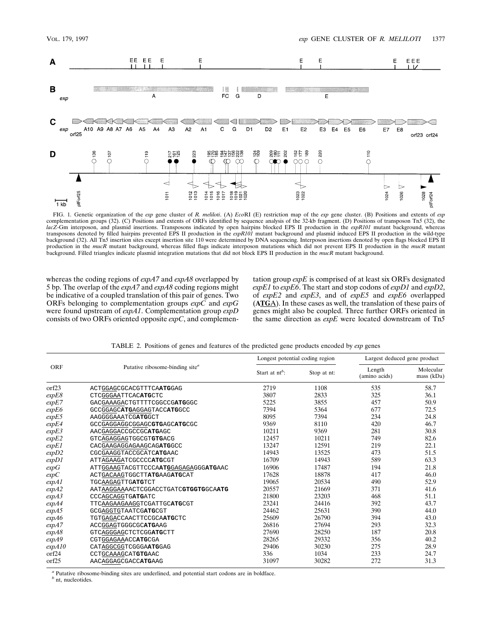

FIG. 1. Genetic organization of the *exp* gene cluster of *R. meliloti*. (A) *Eco*RI (E) restriction map of the *exp* gene cluster. (B) Positions and extents of *exp* complementation groups (32). (C) Positions and extents of ORFs identified by sequence analysis of the 32-kb fragment. (D) Positions of transposon Tn*5* (32), the *lacZ*-Gm interposon, and plasmid insertions. Transposons indicated by open hairpins blocked EPS II production in the *expR101* mutant background, whereas transposons denoted by filled hairpins prevented EPS II production in the *expR101* mutant background and plasmid induced EPS II production in the wild-type background (32). All Tn*5* insertion sites except insertion site 110 were determined by DNA sequencing. Interposon insertions denoted by open flags blocked EPS II production in the *mucR* mutant background, whereas filled flags indicate interposon mutations which did not prevent EPS II production in the *mucR* mutant background. Filled triangles indicate plasmid integration mutations that did not block EPS II production in the *mucR* mutant background.

whereas the coding regions of *expA7* and *expA8* overlapped by 5 bp. The overlap of the *expA7* and *expA8* coding regions might be indicative of a coupled translation of this pair of genes. Two ORFs belonging to complementation groups *expC* and *expG* were found upstream of *expA1*. Complementation group *expD* consists of two ORFs oriented opposite *expC*, and complementation group *expE* is comprised of at least six ORFs designated *expE1* to *expE6*. The start and stop codons of *expD1* and *expD2*, of *expE2* and *expE3*, and of *expE5* and *expE6* overlapped (**ATG**A). In these cases as well, the translation of these pairs of genes might also be coupled. Three further ORFs oriented in the same direction as *expE* were located downstream of Tn*5*

|            |                                             | Longest potential coding region |             | Largest deduced gene product |                         |  |
|------------|---------------------------------------------|---------------------------------|-------------|------------------------------|-------------------------|--|
| <b>ORF</b> | Putative ribosome-binding site <sup>a</sup> | Start at $nt^b$ :               | Stop at nt: | Length<br>(amino acids)      | Molecular<br>mass (kDa) |  |
| orf23      | ACTGGAGCGCACGTTTCAATGGAG                    | 2719                            | 1108        | 535                          | 58.7                    |  |
| expE8      | CTCGGGAATTCACATGCTC                         | 3807                            | 2833        | 325                          | 36.1                    |  |
| expE7      | GACGAAAGACTGTTTTCGGCCGATGGGC                | 5225                            | 3855        | 457                          | 50.9                    |  |
| expE6      | GCCGGAGCATGAGGAGTACCATGGCC                  | 7394                            | 5364        | 677                          | 72.5                    |  |
| expE5      | AAGGGGAAATCGATGGCT                          | 8095                            | 7394        | 234                          | 24.8                    |  |
| expE4      | GCCGAGGAGGCGGAGCGTGAGCATGCGC                | 9369                            | 8110        | 420                          | 46.7                    |  |
| expE3      | AACGAGGACCGCCGCATGAGC                       | 10211                           | 9369        | 281                          | 30.8                    |  |
| expE2      | GTCAGAGGAGTGGCGTGTGACG                      | 12457                           | 10211       | 749                          | 82.6                    |  |
| expE1      | CACGAAGAGGAGAAGCAGATGGCC                    | 13247                           | 12591       | 219                          | 22.1                    |  |
| expD2      | CGCGAAGGTACCGCATCATGAAC                     | 14943                           | 13525       | 473                          | 51.5                    |  |
| expD1      | ATTAGAAGATCGCCCCATGCGT                      | 16709                           | 14943       | 589                          | 63.3                    |  |
| expG       | ATTGGAAGTACGTTCCCAATGGAGAGAGGGATGAAC        | 16906                           | 17487       | 194                          | 21.8                    |  |
| expC       | ACTGACAAGTGGCTTATGAAGATGCAT                 | 17628                           | 18878       | 417                          | 46.0                    |  |
| expA1      | <b>TGCAAGAGTTGATGTCT</b>                    | 19065                           | 20534       | 490                          | 52.9                    |  |
| expA2      | AATAAGGAAAACTCGGACCTGATCGTGGTGCAATG         | 20557                           | 21669       | 371                          | 41.6                    |  |
| expA3      | CCCAGCAGGTGATGATC                           | 21800                           | 23203       | 468                          | 51.1                    |  |
| expA4      | TTCAAGAAGAAGGTCGATTGCATGCGT                 | 23241                           | 24416       | 392                          | 43.7                    |  |
| expA5      | GCGAGGTGTAATCGATGCGT                        | 24462                           | 25631       | 390                          | 44.0                    |  |
| expA6      | TGTGAGACCAACTTCCGCAATGCTC                   | 25609                           | 26790       | 394                          | 43.0                    |  |
| expA7      | ACCGGAGTGGGCGCATGAAG                        | 26816                           | 27694       | 293                          | 32.3                    |  |
| expA8      | GTCAGGGAGCTCTCGGATGCTT                      | 27690                           | 28250       | 187                          | 20.8                    |  |
| expA9      | CGTGGAGAAACCATGCGA                          | 28265                           | 29332       | 356                          | 40.2                    |  |
| expA10     | CATAGGCGGTCGGGAATGGAG                       | 29406                           | 30230       | 275                          | 28.9                    |  |
| orf24      | CCTGCAAAGCATGTGAAC                          | 336                             | 1034        | 233                          | 24.7                    |  |
| orf25      | AACAGGAGCGACCATGAAG                         | 31097                           | 30282       | 272                          | 31.3                    |  |

TABLE 2. Positions of genes and features of the predicted gene products encoded by *exp* genes

*<sup>a</sup>* Putative ribosome-binding sites are underlined, and potential start codons are in boldface.

*<sup>b</sup>* nt, nucleotides.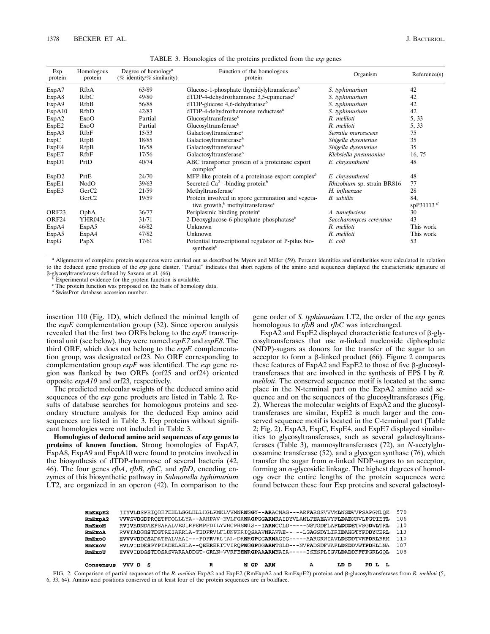| Exp<br>protein    | Homologous<br>protein | Degree of homology <sup><i>a</i></sup><br>(% identity/% similarity) | Function of the homologous<br>protein                                                                         | Organism                   | Reference(s)        |
|-------------------|-----------------------|---------------------------------------------------------------------|---------------------------------------------------------------------------------------------------------------|----------------------------|---------------------|
| ExpA7             | <b>RfbA</b>           | 63/89                                                               | Glucose-1-phosphate thymidylyltransferase $b$                                                                 | S. typhimurium             | 42                  |
| ExpA8             | RfbC                  | 49/80                                                               | $dTDP-4$ -dehydrorhamnose 3,5-epimerase <sup>b</sup>                                                          | S. typhimurium             | 42                  |
| ExpA9             | RfbB                  | 56/88                                                               | dTDP-glucose 4,6-dehydratase <sup>b</sup>                                                                     | S. typhimurium             | 42                  |
| ExpA10            | RfbD                  | 42/83                                                               | $dTDP-4$ -dehydrorhamnose reductase <sup>b</sup>                                                              | S. typhimurium             | 42                  |
| ExpA2             | ExoO                  | Partial                                                             | Glucosyltransferase $b$                                                                                       | R. meliloti                | 5, 33               |
| ExpE2             | ExoO                  | Partial                                                             | Glucosyltransferase $b$                                                                                       | R. meliloti                | 5, 33               |
| ExpA3             | RfbF                  | 15/53                                                               | Galactosyltransferase <sup>c</sup>                                                                            | Serratia marcescens        | 75                  |
| ExpC              | <b>RfpB</b>           | 18/85                                                               | Galactosyltransferase <sup>b</sup>                                                                            | Shigella dysenteriae       | 35                  |
| ExpE4             | RfpB                  | 16/58                                                               | Galactosyltransferase <sup>b</sup>                                                                            | Shigella dysenteriae       | 35                  |
| ExpE7             | RfbF                  | 17/56                                                               | Galactosyltransferase <sup>b</sup>                                                                            | Klebsiella pneumoniae      | 16, 75              |
| ExpD1             | PrtD                  | 40/74                                                               | ABC transporter protein of a proteinase export<br>complex <sup>b</sup>                                        | E. chrysanthemi            | 48                  |
| ExpD2             | PrtE                  | 24/70                                                               | MFP-like protein of a proteinase export complex <sup>b</sup>                                                  | E. chrysanthemi            | 48                  |
| ExpE1             | NodO                  | 39/63                                                               | Secreted $Ca^{2+}$ -binding protein <sup>b</sup>                                                              | Rhizobium sp. strain BR816 | 77                  |
| ExpE3             | GerC <sub>2</sub>     | 21/59                                                               | Methyltransferase <sup>c</sup>                                                                                | H. influenzae              | 28                  |
|                   | GerC <sub>2</sub>     | 19/59                                                               | Protein involved in spore germination and vegeta-<br>tive growth, <sup>b</sup> methyltransferase <sup>c</sup> | <b>B.</b> subtilis         | 84,<br>spP31113 $d$ |
| ORF <sub>23</sub> | OphA                  | 36/77                                                               | Periplasmic binding protein $\epsilon$                                                                        | A. tumefaciens             | 30                  |
| ORF24             | YHR043c               | 31/71                                                               | 2-Deoxyglucose-6-phosphate phosphatase <sup>b</sup>                                                           | Saccharomyces cerevisiae   | 43                  |
| ExpA4             | ExpA5                 | 46/82                                                               | Unknown                                                                                                       | R. meliloti                | This work           |
| ExpA5             | ExpA4                 | 47/82                                                               | Unknown                                                                                                       | R. meliloti                | This work           |
| ExpG              | PapX                  | 17/61                                                               | Potential transcriptional regulator of P-pilus bio-<br>synthesis <sup>b</sup>                                 | E. coli                    | 53                  |

TABLE 3. Homologies of the proteins predicted from the *exp* genes

*<sup>a</sup>* Alignments of complete protein sequences were carried out as described by Myers and Miller (59). Percent identities and similarities were calculated in relation to the deduced gene products of the *exp* gene cluster. "Partial" indicates that short regions of the amino acid sequences displayed the characteristic signature of  $\beta$ -glycosyltransferases defined by Saxena et al. (66).

Experimental evidence for the protein function is available.

*<sup>c</sup>* The protein function was proposed on the basis of homology data.

*<sup>d</sup>* SwissProt database accession number.

insertion 110 (Fig. 1D), which defined the minimal length of the *expE* complementation group (32). Since operon analysis revealed that the first two ORFs belong to the *expE* transcriptional unit (see below), they were named *expE7* and *expE8*. The third ORF, which does not belong to the *expE* complementation group, was designated orf23. No ORF corresponding to complementation group *expF* was identified. The *exp* gene region was flanked by two ORFs (orf25 and orf24) oriented opposite *expA10* and orf23, respectively.

The predicted molecular weights of the deduced amino acid sequences of the *exp* gene products are listed in Table 2. Results of database searches for homologous proteins and secondary structure analysis for the deduced Exp amino acid sequences are listed in Table 3. Exp proteins without significant homologies were not included in Table 3.

**Homologies of deduced amino acid sequences of** *exp* **genes to proteins of known function.** Strong homologies of ExpA7, ExpA8, ExpA9 and ExpA10 were found to proteins involved in the biosynthesis of dTDP-rhamnose of several bacteria (42, 46). The four genes *rfbA*, *rfbB*, *rfbC*, and *rfbD*, encoding enzymes of this biosynthetic pathway in *Salmonella typhimurium* LT2, are organized in an operon (42). In comparison to the gene order of *S. typhimurium* LT2, the order of the *exp* genes homologous to *rfbB* and *rfbC* was interchanged.

ExpA2 and ExpE2 displayed characteristic features of  $\beta$ -glycosyltransferases that use  $\alpha$ -linked nucleoside diphosphate (NDP)-sugars as donors for the transfer of the sugar to an acceptor to form a  $\beta$ -linked product (66). Figure 2 compares these features of  $ExpA2$  and  $ExpE2$  to those of five  $\beta$ -glucosyltransferases that are involved in the synthesis of EPS I by *R. meliloti*. The conserved sequence motif is located at the same place in the N-terminal part on the ExpA2 amino acid sequence and on the sequences of the glucosyltransferases (Fig. 2). Whereas the molecular weights of ExpA2 and the glucosyltransferases are similar, ExpE2 is much larger and the conserved sequence motif is located in the C-terminal part (Table 2; Fig. 2). ExpA3, ExpC, ExpE4, and ExpE7 displayed similarities to glycosyltransferases, such as several galactosyltransferases (Table 3), mannosyltransferases (72), an *N*-acetylglucosamine transferase (52), and a glycogen synthase (76), which transfer the sugar from  $\alpha$ -linked NDP-sugars to an acceptor, forming an  $\alpha$ -glycosidic linkage. The highest degrees of homology over the entire lengths of the protein sequences were found between these four Exp proteins and several galactosyl-

| Consensus | VVV D | - 5                                                                            | R | N GP | ARN | А | LD D | PD L | L |      |
|-----------|-------|--------------------------------------------------------------------------------|---|------|-----|---|------|------|---|------|
| RmExoU    |       | EVVVIDDGSTDDSASVARAADDGT-GRLN-VVRFEENRGPAAARNHAIA-----ISHSPLIGVLDADDFFFPGRLGOL |   |      |     |   |      |      |   | 108  |
| RmExoW    |       | HVLVIDDESPYPIADELAGLA--OEERERITVIROPNGGPGGARNTGLD---NVPADSDFVAFLDSDDVWTPDHLLNA |   |      |     |   |      |      |   | 107  |
| RmExo0    |       | EVVVVDDCSADATPALVAAI---PDPRVRLIAL-DRNRGPGGARNAGIG-----AARGRWIAVLDSDDTVRPDRLRRM |   |      |     |   |      |      |   | 110  |
| RmExoA    |       | RVVIADGGSTDGTREIARRLA-TEDPRVLFLDNPKRIOSAAVNRAVAE-- --LGAGSDYLIRIDAHGTYPDDYCERL |   |      |     |   |      |      |   | 113  |
| RmExoM    |       | RVIVADNDAEPSARALVEGLRPEMPFDILYVHCPHSNIS--IARNCCLD-----NSTGDFLAFLDDDETVSGDWLTRL |   |      |     |   |      |      |   | 1.10 |
| RmExpA2   |       | VVVSVDGDPROETFDOLLLYA--AAHPAV-HVLFGANAGPGGARNRAIDYVLANLPEAEAVYFLDADNRVLPGTIETL |   |      |     |   |      |      |   | 106  |
| RmExpE2   |       | IIYVLDSPEIODETEHLLGGLHLLHGLPMKLVVMNRNSGY--ARACNAG---ARFARGSVVVMLNSDVVPSAPGWLOK |   |      |     |   |      |      |   | 570  |

FIG. 2. Comparison of partial sequences of the *R. meliloti* ExpA2 and ExpE2 (RmExpA2 and RmExpE2) proteins and  $\beta$ -glucosyltransferases from *R. meliloti* (5, 6, 33, 64). Amino acid positions conserved in at least four of the protein sequences are in boldface.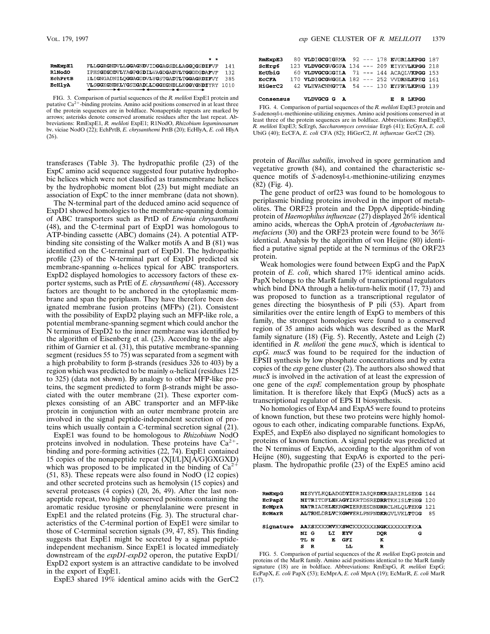E R LKPGG

|               | . .                                           |     |
|---------------|-----------------------------------------------|-----|
| RmExpE1       | FLLGGRGNDVLLGGAGNDVIDGGAGSDLLAGGOGSDIFVF      | 141 |
| <b>R1NodO</b> | IPHSGEGDDVLYAGPGSDILVAGDGADVLTGGDDGDAFVF      | 132 |
| EchPrtB       | ILIGNGADNILOGGAGDDVLYGSTGADTLTGGAGRDIFVY      | 385 |
| <b>ECHIVA</b> | VLSGGKGNDKLYGSEGADLLDGGEGNDLLKGGYGNDIYRY 1010 |     |
|               |                                               |     |

FIG. 3. Comparison of partial sequences of the *R. meliloti* ExpE1 protein and putative Ca<sup>2+</sup>-binding proteins. Amino acid positions conserved in at least three of the protein sequences are in boldface. Nonapeptide repeats are marked by arrows; asterisks denote conserved aromatic residues after the last repeat. Abbreviations: RmExpE1, *R. meliloti* ExpE1; R1NodO, *Rhizobium leguminosarum* bv. viciae NodO (22); EchPrtB, *E. chrysanthemi* PrtB (20); EcHlyA, *E. coli* HlyA (26).

transferases (Table 3). The hydropathic profile (23) of the ExpC amino acid sequence suggested four putative hydrophobic helices which were not classified as transmembrane helices by the hydrophobic moment blot (23) but might mediate an association of ExpC to the inner membrane (data not shown).

The N-terminal part of the deduced amino acid sequence of ExpD1 showed homologies to the membrane-spanning domain of ABC transporters such as PrtD of *Erwinia chrysanthemi* (48), and the C-terminal part of ExpD1 was homologous to ATP-binding cassette (ABC) domains (24). A potential ATPbinding site consisting of the Walker motifs A and B (81) was identified on the C-terminal part of ExpD1. The hydropathic profile (23) of the N-terminal part of ExpD1 predicted six membrane-spanning  $\alpha$ -helices typical for ABC transporters. ExpD2 displayed homologies to accessory factors of these exporter systems, such as PrtE of *E. chrysanthemi* (48). Accessory factors are thought to be anchored in the cytoplasmic membrane and span the periplasm. They have therefore been designated membrane fusion proteins (MFPs) (21). Consistent with the possibility of ExpD2 playing such an MFP-like role, a potential membrane-spanning segment which could anchor the N terminus of ExpD2 to the inner membrane was identified by the algorithm of Eisenberg et al. (23). According to the algorithim of Garnier et al. (31), this putative membrane-spanning segment (residues 55 to 75) was separated from a segment with a high probability to form  $\beta$ -strands (residues 326 to 403) by a region which was predicted to be mainly  $\alpha$ -helical (residues 125 to 325) (data not shown). By analogy to other MFP-like proteins, the segment predicted to form  $\beta$ -strands might be associated with the outer membrane (21). These exporter complexes consisting of an ABC transporter and an MFP-like protein in conjunction with an outer membrane protein are involved in the signal peptide-independent secretion of proteins which usually contain a C-terminal secretion signal (21).

ExpE1 was found to be homologous to *Rhizobium* NodO proteins involved in nodulation. These proteins have  $Ca^{2+}$ binding and pore-forming activities  $(22, 74)$ . ExpE1 contained 15 copies of the nonapeptide repeat (X[I/L]X[A/G]GXGXD) which was proposed to be implicated in the binding of  $Ca^{2+}$ (51, 83). These repeats were also found in NodO (12 copies) and other secreted proteins such as hemolysin (15 copies) and several proteases (4 copies) (20, 26, 49). After the last nonapeptide repeat, two highly conserved positions containing the aromatic residue tyrosine or phenylalanine were present in ExpE1 and the related proteins (Fig. 3). The structural characteristics of the C-terminal portion of ExpE1 were similar to those of C-terminal secretion signals (39, 47, 85). This finding suggests that ExpE1 might be secreted by a signal peptideindependent mechanism. Since ExpE1 is located immediately downstream of the *expD1-expD2* operon, the putative ExpD1/ ExpD2 export system is an attractive candidate to be involved in the export of ExpE1.

ExpE3 shared 19% identical amino acids with the GerC2

| RmExpE3      | 80 VLDIGCGIGRMA 92 --- 178 EVGRLLKPGG 187   |  |  |  |
|--------------|---------------------------------------------|--|--|--|
| ScErg6       | 123 VLDVGCGVGGPA 134 --- 209 EIYKVLKPGG 218 |  |  |  |
| EcUbiG       | 60 VLDVGCGGGILA 71 --- 144 ACAOLVKPGG 153   |  |  |  |
| <b>ECCFA</b> | 170 VLDIGCGWGGLA 182 --- 252 VVDRNLKPEG 161 |  |  |  |
| HiGerC2      | 42 VLEVACNMGTTA 54 --- 130 EYFRVLKPNG 139   |  |  |  |
|              |                                             |  |  |  |

FIG. 4. Comparison of partial sequences of the *R. meliloti* ExpE3 protein and *S*-adenosyl-L-methionine-utilizing enzymes. Amino acid positions conserved in at least three of the protein sequences are in boldface. Abbreviations: RmExpE3, *R. meliloti* ExpE3; ScErg6, *Saccharomyces cerevisiae* Erg6 (41); EcGyrA, *E. coli* UbiG (40); EcCFA, *E. coli* CFA (82); HiGerC2, *H. influenzae* GerC2 (28).

VLDVGCG G A

Consensus

protein of *Bacillus subtilis*, involved in spore germination and vegetative growth (84), and contained the characteristic sequence motifs of *S*-adenosyl-L-methionine-utilizing enzymes (82) (Fig. 4).

The gene product of orf23 was found to be homologous to periplasmic binding proteins involved in the import of metabolites. The ORF23 protein and the DppA dipeptide-binding protein of *Haemophilus influenzae* (27) displayed 26% identical amino acids, whereas the OphA protein of *Agrobacterium tumefaciens* (30) and the ORF23 protein were found to be 36% identical. Analysis by the algorithm of von Heijne (80) identified a putative signal peptide at the N terminus of the ORF23 protein.

Weak homologies were found between ExpG and the PapX protein of *E. coli*, which shared 17% identical amino acids. PapX belongs to the MarR family of transcriptional regulators which bind DNA through a helix-turn-helix motif (17, 73) and was proposed to function as a transcriptional regulator of genes directing the biosynthesis of P pili (53). Apart from similarities over the entire length of ExpG to members of this family, the strongest homologies were found to a conserved region of 35 amino acids which was described as the MarR family signature (18) (Fig. 5). Recently, Astete and Leigh (2) identified in *R. meliloti* the gene *mucS*, which is identical to *expG. mucS* was found to be required for the induction of EPSII synthesis by low phosphate concentrations and by extra copies of the *exp* gene cluster (2). The authors also showed that *mucS* is involved in the activation of at least the expression of one gene of the *expE* complementation group by phosphate limitation. It is therefore likely that ExpG (MucS) acts as a transcriptional regulator of EPS II biosynthesis.

No homologies of ExpA4 and ExpA5 were found to proteins of known function, but these two proteins were highly homologous to each other, indicating comparable functions. ExpA6, ExpE5, and ExpE6 also displayed no significant homologies to proteins of known function. A signal peptide was predicted at the N terminus of ExpA6, according to the algorithm of von Heijne (80), suggesting that ExpA6 is exported to the periplasm. The hydropathic profile (23) of the ExpE5 amino acid

| RmExpG        |        |    |     | NISYYLKOLADGDYIDRIASORDKRSARIRLSEKG 144      |   |     |
|---------------|--------|----|-----|----------------------------------------------|---|-----|
| EcPapX        |        |    |     | NITRITDFLEKAGYIKRTDSREDRRTKKISLTSEG          |   | 120 |
| ECMprA        |        |    |     | <b>NATRIADELEKRGWIERRESDNDRRCLHLOLTEKG</b>   |   | 121 |
| <b>ECMArR</b> |        |    |     | <b>ALTRMLDRLVCKGWVERLPNPNDKRGVLVKLTTGG</b>   |   | 85  |
| Signature     |        |    |     | <b>AAXSXXXXMVXXSWCXXXXXXXXMGKXXXXXXXTXXA</b> |   |     |
|               | NI G   | LI | EYV | <b>DOR</b>                                   | G |     |
|               | TL N   | E  | GFI | ĸ                                            |   |     |
|               | s<br>R |    | LL  | R                                            |   |     |

FIG. 5. Comparison of partial sequences of the *R. meliloti* ExpG protein and proteins of the MarR family. Amino acid positions identical to the MarR family signature (18) are in boldface. Abbreviations: RmExpG, *R. meliloti* ExpG; EcPapX, *E. coli* PapX (53); EcMprA, *E. coli* MprA (19); EcMarR, *E. coli* MarR (17).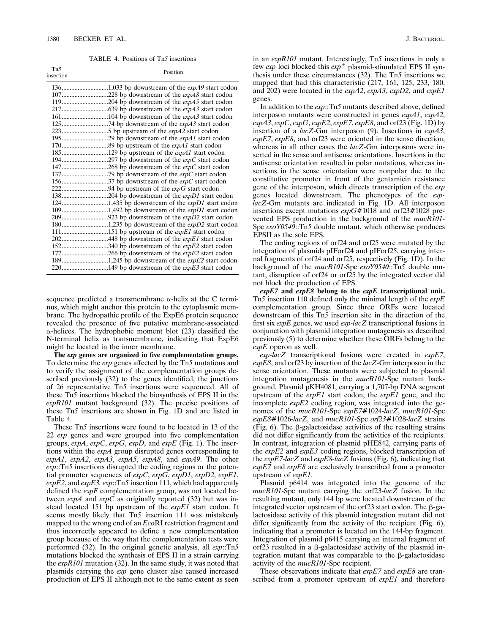TABLE 4. Positions of Tn*5* insertions

| Tn <sub>5</sub><br>insertion | Position |  |  |  |  |  |  |
|------------------------------|----------|--|--|--|--|--|--|
|                              |          |  |  |  |  |  |  |
|                              |          |  |  |  |  |  |  |
|                              |          |  |  |  |  |  |  |
|                              |          |  |  |  |  |  |  |
|                              |          |  |  |  |  |  |  |
|                              |          |  |  |  |  |  |  |
|                              |          |  |  |  |  |  |  |
|                              |          |  |  |  |  |  |  |
|                              |          |  |  |  |  |  |  |
|                              |          |  |  |  |  |  |  |
|                              |          |  |  |  |  |  |  |
|                              |          |  |  |  |  |  |  |
|                              |          |  |  |  |  |  |  |
|                              |          |  |  |  |  |  |  |
|                              |          |  |  |  |  |  |  |
|                              |          |  |  |  |  |  |  |
|                              |          |  |  |  |  |  |  |
|                              |          |  |  |  |  |  |  |
|                              |          |  |  |  |  |  |  |
|                              |          |  |  |  |  |  |  |
|                              |          |  |  |  |  |  |  |
|                              |          |  |  |  |  |  |  |
|                              |          |  |  |  |  |  |  |
|                              |          |  |  |  |  |  |  |
|                              |          |  |  |  |  |  |  |
|                              |          |  |  |  |  |  |  |

sequence predicted a transmembrane  $\alpha$ -helix at the C terminus, which might anchor this protein to the cytoplasmic membrane. The hydropathic profile of the ExpE6 protein sequence revealed the presence of five putative membrane-associated  $\alpha$ -helices. The hydrophobic moment blot (23) classified the N-terminal helix as transmembrane, indicating that ExpE6 might be located in the inner membrane.

**The** *exp* **genes are organized in five complementation groups.** To determine the *exp* genes affected by the Tn*5* mutations and to verify the assignment of the complementation groups described previously (32) to the genes identified, the junctions of 26 representative Tn*5* insertions were sequenced. All of these Tn*5* insertions blocked the biosynthesis of EPS II in the *expR101* mutant background (32). The precise positions of these Tn*5* insertions are shown in Fig. 1D and are listed in Table 4.

These Tn*5* insertions were found to be located in 13 of the 22 *exp* genes and were grouped into five complementation groups, *expA*, *expC*, *expG*, *expD*, and *expE* (Fig. 1). The insertions within the *expA* group disrupted genes corresponding to *expA1*, *expA2*, *expA3*, *expA5*, *expA8*, and *expA9*. The other *exp*::Tn*5* insertions disrupted the coding regions or the potential promoter sequences of *expC*, *expG*, *expD1*, *expD2*, *expE1*, *expE2*, and *expE3. exp*::Tn*5* insertion 111, which had apparently defined the *expF* complementation group, was not located between *expA* and *expC* as originally reported (32) but was instead located 151 bp upstream of the *expE1* start codon. It seems mostly likely that Tn*5* insertion 111 was mistakenly mapped to the wrong end of an *Eco*RI restriction fragment and thus incorrectly appeared to define a new complementation group because of the way that the complementation tests were performed (32). In the original genetic analysis, all *exp*::Tn*5* mutations blocked the synthesis of EPS II in a strain carrying the *expR101* mutation (32). In the same study, it was noted that plasmids carrying the *exp* gene cluster also caused increased production of EPS II although not to the same extent as seen

in an *expR101* mutant. Interestingly, Tn*5* insertions in only a few *exp* loci blocked this  $exp^+$  plasmid-stimulated EPS II synthesis under these circumstances (32). The Tn*5* insertions we mapped that had this characteristic (217, 161, 125, 233, 180, and 202) were located in the *expA2*, *expA3*, *expD2*, and *expE1* genes.

In addition to the *exp*::Tn*5* mutants described above, defined interposon mutants were constructed in genes *expA1*, *expA2*,  $expA3$ ,  $expC$ ,  $expG$ ,  $expE2$ ,  $expE7$ ,  $expE8$ , and orf23 (Fig. 1D) by insertion of a *lacZ*-Gm interposon (9). Insertions in *expA3*, *expE7*, *expE8*, and orf23 were oriented in the sense direction, whereas in all other cases the *lacZ*-Gm interposons were inserted in the sense and antisense orientations. Insertions in the antisense orientation resulted in polar mutations, whereas insertions in the sense orientation were nonpolar due to the constitutive promoter in front of the gentamicin resistance gene of the interposon, which directs transcription of the *exp* genes located downstream. The phenotypes of the *explacZ*-Gm mutants are indicated in Fig. 1D. All interposon insertions except mutations *expG*#1018 and orf23#1028 prevented EPS production in the background of the *mucR101*- Spc *exoY0540*::Tn*5* double mutant, which otherwise produces EPSII as the sole EPS.

The coding regions of orf24 and orf25 were mutated by the integration of plasmids pIForf24 and pIForf25, carrying internal fragments of orf24 and orf25, respectively (Fig. 1D). In the background of the *mucR101*-Spc *exoY0540*::Tn*5* double mutant, disruption of orf24 or orf25 by the integrated vector did not block the production of EPS.

*expE7* **and** *expE8* **belong to the** *expE* **transcriptional unit.** Tn*5* insertion 110 defined only the minimal length of the *expE* complementation group. Since three ORFs were located downstream of this Tn*5* insertion site in the direction of the first six *expE* genes, we used *exp-lacZ* transcriptional fusions in conjunction with plasmid integration mutagenesis as described previously (5) to determine whether these ORFs belong to the *expE* operon as well.

*exp-lacZ* transcriptional fusions were created in *expE7*, *expE8*, and orf23 by insertion of the *lacZ*-Gm interposon in the sense orientation. These mutants were subjected to plasmid integration mutagenesis in the *mucR101*-Spc mutant background. Plasmid pKH4081, carrying a 1,707-bp DNA segment upstream of the *expE1* start codon, the *expE1* gene, and the incomplete *expE2* coding region, was integrated into the genomes of the *mucR101*-Spc *expE7*#1024-*lacZ*, *mucR101*-Spc *expE8*#1026-*lacZ*, and *mucR101*-Spc *orf23*#1028-*lacZ* strains (Fig. 6). The  $\beta$ -galactosidase activities of the resulting strains did not differ significantly from the activities of the recipients. In contrast, integration of plasmid pHE842, carrying parts of the *expE2* and *expE3* coding regions, blocked transcription of the *expE7-lacZ* and *expE8-lacZ* fusions (Fig. 6), indicating that *expE7* and *expE8* are exclusively transcribed from a promoter upstream of *expE1.*

Plasmid p6414 was integrated into the genome of the *mucR101*-Spc mutant carrying the orf23-*lacZ* fusion. In the resulting mutant, only 144 bp were located downstream of the integrated vector upstream of the orf $23$  start codon. The  $\beta$ -galactosidase activity of this plasmid integration mutant did not differ significantly from the activity of the recipient (Fig. 6), indicating that a promoter is located on the 144-bp fragment. Integration of plasmid p6415 carrying an internal fragment of orf23 resulted in a  $\beta$ -galactosidase activity of the plasmid integration mutant that was comparable to the  $\beta$ -galactosidase activity of the *mucR101*-Spc recipient.

These observations indicate that *expE7* and *expE8* are transcribed from a promoter upstream of *expE1* and therefore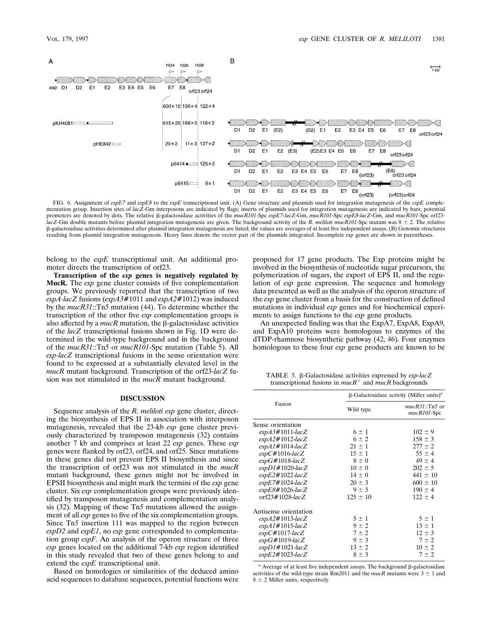

FIG. 6. Assignment of *expE7* and *expE8* to the *expE* transcriptional unit. (A) Gene structure and plasmids used for integration mutagenesis of the *expE* complementation group. Insertion sites of *lacZ*-Gm interposons are indicated by flags; inserts of plasmids used for integration mutagenesis are indicated by bars; potential promoters are denoted by dots. The relative b-galactosidase activities of the *mucR101*-Spc *expE7-lacZ*-Gm, *mucR101*-Spc *expE8-lacZ*-Gm, and *mucR101*-Spc orf23 *lacZ*-Gm double mutants before plasmid integration mutagenesis are given. The background activity of the *R. meliloti mucR101*-Spc mutant was 8  $\pm$  2. The relative b-galactosidase activities determined after plasmid integration mutagenesis are listed; the values are averages of at least five independent assays. (B) Genomic structures resulting from plasmid integration mutagenesis. Heavy lines denote the vector part of the plasmids integrated. Incomplete *exp* genes are shown in parentheses.

belong to the *expE* transcriptional unit. An additional promoter directs the transcription of orf23.

**Transcription of the** *exp* **genes is negatively regulated by MucR.** The *exp* gene cluster consists of five complementation groups. We previously reported that the transcription of two *expA-lacZ* fusions (*expA3*#1011 and *expA2*#1012) was induced by the *mucR31*::Tn*5* mutation (44). To determine whether the transcription of the other five *exp* complementation groups is also affected by a  $mucR$  mutation, the  $\beta$ -galactosidase activities of the *lacZ* transcriptional fusions shown in Fig. 1D were determined in the wild-type background and in the background of the *mucR31*::Tn*5* or *mucR101*-Spc mutation (Table 5). All *exp-lacZ* transcriptional fusions in the sense orientation were found to be expressed at a substantially elevated level in the *mucR* mutant background. Transcription of the orf23-*lacZ* fusion was not stimulated in the *mucR* mutant background.

## **DISCUSSION**

Sequence analysis of the *R. meliloti exp* gene cluster, directing the biosynthesis of EPS II in association with interposon mutagenesis, revealed that the 23-kb *exp* gene cluster previously characterized by transposon mutagenesis (32) contains another 7 kb and comprises at least 22 *exp* genes. These *exp* genes were flanked by orf23, orf24, and orf25. Since mutations in these genes did not prevent EPS II biosynthesis and since the transcription of orf23 was not stimulated in the *mucR* mutant background, these genes might not be involved in EPSII biosynthesis and might mark the termini of the *exp* gene cluster. Six *exp* complementation groups were previously identified by transposon mutagenesis and complementation analysis (32). Mapping of these Tn*5* mutations allowed the assignment of all *exp* genes to five of the six complementation groups. Since Tn*5* insertion 111 was mapped to the region between *expD2* and *expE1*, no *exp* gene corresponded to complementation group *expF*. An analysis of the operon structure of three *exp* genes located on the additional 7-kb *exp* region identified in this study revealed that two of these genes belong to and extend the *expE* transcriptional unit.

Based on homologies or similarities of the deduced amino acid sequences to database sequences, potential functions were proposed for 17 gene products. The Exp proteins might be involved in the biosynthesis of nucleotide sugar precursors, the polymerization of sugars, the export of EPS II, and the regulation of *exp* gene expression. The sequence and homology data presented as well as the analysis of the operon structure of the *exp* gene cluster from a basis for the construction of defined mutations in individual *exp* genes and for biochemical experiments to assign functions to the *exp* gene products.

An unexpected finding was that the ExpA7, ExpA8, ExpA9, and ExpA10 proteins were homologous to enzymes of the dTDP-rhamnose biosynthetic pathway (42, 46). Four enzymes homologous to these four *exp* gene products are known to be

TABLE 5. b-Galactosidase activities expressed by *exp-lacZ* transcriptional fusions in  $mucR<sup>+</sup>$  and  $mucR$  backgrounds

|                       | $\beta$ -Galactosidase activity (Miller units) <sup><i>a</i></sup> |                                 |  |  |  |
|-----------------------|--------------------------------------------------------------------|---------------------------------|--|--|--|
| Fusion                | Wild type                                                          | $mucR31::Th5$ or<br>mucR101-Spc |  |  |  |
| Sense orientation     |                                                                    |                                 |  |  |  |
| $expA3#1011-lacZ$     | $6 \pm 1$                                                          | $102 \pm 9$                     |  |  |  |
| $\exp A2\#1012$ -lacZ | $6 \pm 2$                                                          | $158 \pm 3$                     |  |  |  |
| $expA1#1014$ -lacZ    | $21 \pm 1$                                                         | $277 \pm 2$                     |  |  |  |
| $expC#1016$ -lacZ     | $15 \pm 1$                                                         | $55 \pm 4$                      |  |  |  |
| $expG#1018$ -lacZ     | $8 \pm 0$                                                          | $49 \pm 4$                      |  |  |  |
| $expD1#1020$ -lacZ    | $10 \pm 0$                                                         | $202 \pm 5$                     |  |  |  |
| $expE2#1022$ -lacZ    | $14 \pm 0$                                                         | $441 \pm 10$                    |  |  |  |
| $expE7#1024$ -lacZ    | $20 \pm 3$                                                         | $600 \pm 10$                    |  |  |  |
| $expE8#1026$ -lacZ    | $9 \pm 3$                                                          | $190 \pm 4$                     |  |  |  |
| orf $23#1028$ -lacZ   | $125 \pm 10$                                                       | $122 \pm 4$                     |  |  |  |
| Antisense orientation |                                                                    |                                 |  |  |  |
| $expA2#1013$ -lacZ    | $5 \pm 1$                                                          | $5 \pm 1$                       |  |  |  |
| $expA1#1015$ -lacZ    | $9 \pm 2$                                                          | $13 \pm 1$                      |  |  |  |
| $expC#1017$ -lacZ     | $7 \pm 2$                                                          | $12 \pm 3$                      |  |  |  |
| $expG#1019$ -lacZ     | $9 \pm 3$                                                          | $7 \pm 2$                       |  |  |  |
| $expD1#1021$ -lacZ    | $13 \pm 2$                                                         | $10 \pm 2$                      |  |  |  |
| $expE2#1023$ -lacZ    | $8 \pm 3$                                                          | $7 \pm 2$                       |  |  |  |

 $a$  Average of at least five independent assays. The background  $\beta$ -galactosidase activities of the wild-type strain Rm2011 and the  $mucR$  mutants were  $3 \pm 1$  and  $8 \pm 2$  Miller units, respectively.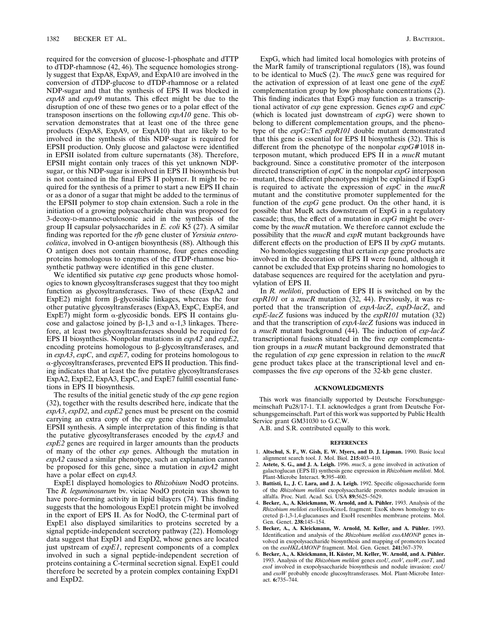required for the conversion of glucose-1-phosphate and dTTP to dTDP-rhamnose (42, 46). The sequence homologies strongly suggest that ExpA8, ExpA9, and ExpA10 are involved in the conversion of dTDP-glucose to dTDP-rhamnose or a related NDP-sugar and that the synthesis of EPS II was blocked in *expA8* and *expA9* mutants. This effect might be due to the disruption of one of these two genes or to a polar effect of the transposon insertions on the following *expA10* gene. This observation demonstrates that at least one of the three gene products (ExpA8, ExpA9, or ExpA10) that are likely to be involved in the synthesis of this NDP-sugar is required for EPSII production. Only glucose and galactose were identified in EPSII isolated from culture supernatants (38). Therefore, EPSII might contain only traces of this yet unknown NDPsugar, or this NDP-sugar is involved in EPS II biosynthesis but is not contained in the final EPS II polymer. It might be required for the synthesis of a primer to start a new EPS II chain or as a donor of a sugar that might be added to the terminus of the EPSII polymer to stop chain extension. Such a role in the initiation of a growing polysaccharide chain was proposed for 3-deoxy-D-manno-octulosonic acid in the synthesis of the group II capsular polysaccharides in *E. coli* K5 (27). A similar finding was reported for the *rfb* gene cluster of *Yersinia enterocolitica*, involved in O-antigen biosynthesis (88). Although this O antigen does not contain rhamnose, four genes encoding proteins homologous to enzymes of the dTDP-rhamnose biosynthetic pathway were identified in this gene cluster.

We identified six putative *exp* gene products whose homologies to known glycosyltransferases suggest that they too might function as glycosyltransferases. Two of these (ExpA2 and ExpE2) might form  $\beta$ -glycosidic linkages, whereas the four other putative glycosyltransferases (ExpA3, ExpC, ExpE4, and ExpE7) might form  $\alpha$ -glycosidic bonds. EPS II contains glucose and galactose joined by  $\beta$ -1,3 and  $\alpha$ -1,3 linkages. Therefore, at least two glycosyltransferases should be required for EPS II biosynthesis. Nonpolar mutations in *expA2* and *expE2*, encoding proteins homologous to  $\beta$ -glycosyltransferases, and in *expA3*, *expC*, and *expE7*, coding for proteins homologous to  $\alpha$ -glycosyltransferases, prevented EPS II production. This finding indicates that at least the five putative glycosyltransferases ExpA2, ExpE2, ExpA3, ExpC, and ExpE7 fulfill essential functions in EPS II biosynthesis.

The results of the initial genetic study of the *exp* gene region (32), together with the results described here, indicate that the *expA3*, *expD2*, and *expE2* genes must be present on the cosmid carrying an extra copy of the *exp* gene cluster to stimulate EPSII synthesis. A simple interpretation of this finding is that the putative glycosyltransferases encoded by the *expA3* and *expE2* genes are required in larger amounts than the products of many of the other *exp* genes. Although the mutation in *expA2* caused a similar phenotype, such an explanation cannot be proposed for this gene, since a mutation in *expA2* might have a polar effect on *expA3.*

ExpE1 displayed homologies to *Rhizobium* NodO proteins. The *R. leguminosarum* bv. viciae NodO protein was shown to have pore-forming activity in lipid bilayers (74). This finding suggests that the homologous ExpE1 protein might be involved in the export of EPS II. As for NodO, the C-terminal part of ExpE1 also displayed similarities to proteins secreted by a signal peptide-independent secretory pathway (22). Homology data suggest that ExpD1 and ExpD2, whose genes are located just upstream of *expE1*, represent components of a complex involved in such a signal peptide-independent secretion of proteins containing a C-terminal secretion signal. ExpE1 could therefore be secreted by a protein complex containing ExpD1 and ExpD2.

ExpG, which had limited local homologies with proteins of the MarR family of transcriptional regulators (18), was found to be identical to MucS (2). The *mucS* gene was required for the activation of expression of at least one gene of the *expE* complementation group by low phosphate concentrations (2). This finding indicates that ExpG may function as a transcriptional activator of *exp* gene expression. Genes *expG* and *expC* (which is located just downstream of *expG*) were shown to belong to different complementation groups, and the phenotype of the *expG*::Tn*5 expR101* double mutant demonstrated that this gene is essential for EPS II biosynthesis (32). This is different from the phenotype of the nonpolar *expG*#1018 interposon mutant, which produced EPS II in a *mucR* mutant background. Since a constitutive promoter of the interposon directed transcription of *expC* in the nonpolar *expG* interposon mutant, these different phenotypes might be explained if ExpG is required to activate the expression of *expC* in the *mucR* mutant and the constitutive promoter supplemented for the function of the *expG* gene product. On the other hand, it is possible that MucR acts downstream of ExpG in a regulatory cascade; thus, the effect of a mutation in *expG* might be overcome by the *mucR* mutation. We therefore cannot exclude the possibility that the *mucR* and *expR* mutant backgrounds have different effects on the production of EPS II by *expG* mutants.

No homologies suggesting that certain *exp* gene products are involved in the decoration of EPS II were found, although it cannot be excluded that Exp proteins sharing no homologies to database sequences are required for the acetylation and pyruvylation of EPS II.

In *R. meliloti*, production of EPS II is switched on by the *expR101* or a *mucR* mutation (32, 44). Previously, it was reported that the transcription of *expA-lacZ*, *expD-lacZ*, and *expE-lacZ* fusions was induced by the *expR101* mutation (32) and that the transcription of *expA-lacZ* fusions was induced in a *mucR* mutant background (44). The induction of *exp-lacZ* transcriptional fusions situated in the five *exp* complementation groups in a *mucR* mutant background demonstrated that the regulation of *exp* gene expression in relation to the *mucR* gene product takes place at the transcriptional level and encompasses the five *exp* operons of the 32-kb gene cluster.

## **ACKNOWLEDGMENTS**

This work was financially supported by Deutsche Forschungsgemeinschaft Pu28/17-1. T.I. acknowledges a grant from Deutsche Forschungsgemeinschaft. Part of this work was supported by Public Health Service grant GM31030 to G.C.W.

A.B. and S.R. contributed equally to this work.

#### **REFERENCES**

- 1. **Altschul, S. F., W. Gish, E. W. Myers, and D. J. Lipman.** 1990. Basic local alignment search tool. J. Mol. Biol. **215:**403–410.
- 2. **Astete, S. G., and J. A. Leigh.** 1996. *mucS*, a gene involved in activation of galactoglucan (EPS II) synthesis gene expression in *Rhizobium meliloti*. Mol. Plant-Microbe Interact. **9:**395–400.
- 3. **Battisti, L., J. C. Lara, and J. A. Leigh.** 1992. Specific oligosaccharide form of the *Rhizobium meliloti* exopolysaccharide promotes nodule invasion in alfalfa. Proc. Natl. Acad. Sci. USA **89:**5625–5629.
- 4. Becker, A., A. Kleickmann, W. Arnold, and A. Pühler. 1993. Analysis of the *Rhizobium meliloti exo*H/*exo*K/*exo*L fragment: ExoK shows homology to excreted b-1,3-1,4-glucanases and ExoH resembles membrane proteins. Mol. Gen. Genet. **238:**145–154.
- 5. Becker, A., A. Kleickmann, W. Arnold, M. Keller, and A. Pühler. 1993. Identification and analysis of the *Rhizobium meliloti exoAMONP* genes involved in exopolysaccharide biosynthesis and mapping of promoters located on the *exoHKLAMONP* fragment. Mol. Gen. Genet. **241:**367–379.
- 6. Becker, A., A. Kleickmann, H. Küster, M. Keller, W. Arnold, and A. Pühler. 1993. Analysis of the *Rhizobium meliloti* genes *exoU*, *exoV*, *exoW*, *exoT*, and *exoI* involved in exopolysaccharide biosynthesis and nodule invasion: *exoU* and *exoW* probably encode glucosyltransferases. Mol. Plant-Microbe Interact. **6:**735–744.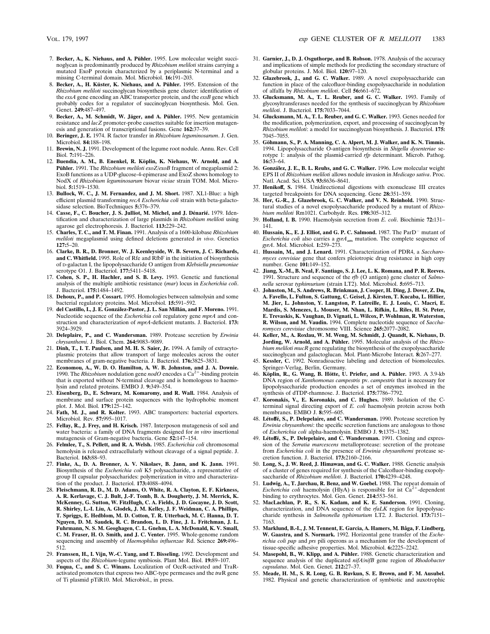- 7. Becker, A., K. Niehaus, and A. Pühler. 1995. Low molecular weight succinoglycan is predominantly produced by *Rhizobium meliloti* strains carrying a mutated ExoP protein characterized by a periplasmic N-terminal and a missing C-terminal domain. Mol. Microbiol. **16:**191–203.
- 8. Becker, A., H. Küster, K. Niehaus, and A. Pühler. 1995. Extension of the *Rhizobium meliloti* succinoglycan biosynthesis gene cluster: identification of the *exsA* gene encoding an ABC transporter protein, and the *exsB* gene which probably codes for a regulator of succinoglycan biosynthesis. Mol. Gen. Genet. **249:**487–497.
- 9. Becker, A., M. Schmidt, W. Jäger, and A. Pühler. 1995. New gentamicin resistance and *lacZ* promoter-probe cassettes suitable for insertion mutagenesis and generation of transcriptional fusions. Gene **162:**37–39.
- 10. **Beringer, J. E.** 1974. R factor transfer in *Rhizobium leguminosarum*. J. Gen. Microbiol. **84:**188–198.
- 11. **Brewin, N. J.** 1991. Development of the legume root nodule. Annu. Rev. Cell Biol. **7:**191–226.
- 12. Buendia, A. M., B. Enenkel, R. Köplin, K. Niehaus, W. Arnold, and A. Pühler. 1991. The *Rhizobium meliloti exoZ/exoB* fragment of megaplasmid 2: ExoB functions as a UDP-glucose-4-epimerase and ExoZ shows homology to NodX of *Rhizobium leguminosarum* biovar *viciae* strain TOM. Mol. Microbiol. **5:**1519–1530.
- 13. **Bullock, W. C., J. M. Fernandez, and J. M. Short.** 1987. XL1-Blue: a high efficient plasmid transforming *recA Escherichia coli* strain with beta-galactosidase selection. BioTechniques **5:**376–379.
- 14. Casse, F., C. Boucher, J. S. Julliot, M. Michel, and J. Dénarié. 1979. Identification and characterization of large plasmids in *Rhizobium meliloti* using agarose gel electrophoresis. J. Bacteriol. **113:**229–242.
- 15. **Charles, T. C., and T. M. Finan.** 1991. Analysis of a 1600-kilobase *Rhizobium meliloti* megaplasmid using defined deletions generated *in vivo*. Genetics **127:**5–20.
- 16. **Clarke, B. R., D. Bronner, W. J. Keenleyside, W. B. Severn, J. C. Richards, and C. Whitfield.** 1995. Role of Rfe and RfbF in the initiation of biosynthesis of D-galactan I, the lipopolysaccharide O antigen from *Klebsiella pneumoniae* serotype O1. J. Bacteriol. **177:**5411–5418.
- 17. **Cohen, S. P., H. Hachler, and S. B. Levy.** 1993. Genetic and functional analysis of the multiple antibiotic resistance (*mar*) locus in *Escherichia coli*. J. Bacteriol. **175:**1484–1492.
- 18. **Dehoux, P., and P. Cossart.** 1995. Homologies between salmolysin and some bacterial regulatory proteins. Mol. Microbiol. **15:**591–592.
- 19. **del Castillo, I., J. E. Gonza´lez-Pastor, J. L. San Milla´n, and F. Moreno.** 1991. Nucleotide sequence of the *Escherichia coli* regulatory gene *mprA* and construction and characterization of *mprA*-deficient mutants. J. Bacteriol. **173:** 3924–3929.
- 20. **Deleplaire, P., and C. Wandersman.** 1989. Protease secretion by *Erwinia chrysanthemi*. J. Biol. Chem. **264:**9083–9089.
- 21. **Dinh, T., I. T. Paulsen, and M. H. S. Saier, Jr.** 1994. A family of extracytoplasmic proteins that allow transport of large molecules across the outer membranes of gram-negative bacteria. J. Bacteriol. **176:**3825–3831.
- 22. **Economou, A., W. D. O. Hamilton, A. W. B. Johnston, and J. A. Downie.** 1990. The *Rhizobium* nodulation gene  $nodO$  encodes a  $\text{Ca}^{2+}$ -binding protein that is exported without N-terminal cleavage and is homologous to haemolysin and related proteins. EMBO J. **9:**349–354.
- 23. **Eisenberg, D., E. Schwarz, M. Komaromy, and R. Wall.** 1984. Analysis of membrane and surface protein sequences with the hydrophobic moment plot. J. Mol. Biol. **179:**125–142.
- 24. **Fath, M. J., and R. Kolter.** 1993. ABC transporters: bacterial exporters. Microbiol. Rev. **57:**995–1017.
- 25. **Fellay, R., J. Frey, and H. Krisch.** 1987. Interposon mutagenesis of soil and water bacteria: a family of DNA fragments designed for *in vitro* insertional mutagenesis of Gram-negative bacteria. Gene **52:**147–154.
- 26. **Felmlee, T., S. Pellett, and R. A. Welsh.** 1985. *Escherichia coli* chromosomal hemolysin is released extracellularly without cleavage of a signal peptide. J. Bacteriol. **163:**88–93.
- 27. **Finke, A., D. A. Bronner, A. V. Nikolaev, B. Jann, and K. Jann.** 1991. Biosynthesis of the *Escherichia coli* K5 polysaccharide, a representative of group II capsular polysaccharides: polymerization in vitro and characterization of the product. J. Bacteriol. **173:**4088–4094.
- 28. **Fleischmann, R. D., M. D. Adams, O. White, R. A. Clayton, E. F. Kirkness, A. R. Kerlavage, C. J. Bult, J.-F. Tomb, B. A. Dougherty, J. M. Merrick, K. McKenney, G. Sutton, W. FitzHugh, C. A. Fields, J. D. Gocayne, J. D. Scott, R. Shirley, L.-I. Liu, A. Glodek, J. M. Kelley, J. F. Weidman, C. A. Phillips, T. Spriggs, E. Hedblom, M. D. Cotton, T. R. Utterback, M. C. Hanna, D. T. Nguyen, D. M. Saudek, R. C. Brandon, L. D. Fine, J. L. Fritchman, J. L. Fuhrmann, N. S. M. Geoghagen, C. L. Gnehm, L. A. McDonald, K. V. Small, C. M. Fraser, H. O. Smith, and J. C. Venter.** 1995. Whole-genome random sequencing and assembly of *Haemophilus influenzae* Rd. Science **269:**496– 512.
- 29. **Franssen, H., I. Vijn, W.-C. Yang, and T. Bisseling.** 1992. Development and aspects of the *Rhizobium*-legume symbiosis. Plant Mol. Biol. **19:**89–107.
- 30. **Fuqua, C., and S. C. Winans.** Localization of OccR-activated and TraRactivated promoters that express two ABC-type permeases and the *tra*R gene of Ti plasmid pTiR10. Mol. Microbiol., in press.
- 31. **Garnier, J., D. J. Osguthorpe, and B. Robson.** 1978. Analysis of the accuracy and implications of simple methods for predicting the secondary structure of globular proteins. J. Mol. Biol. **120:**97–120.
- 32. **Glazebrook, J., and G. C. Walker.** 1989. A novel exopolysaccharide can function in place of the calcofluor-binding exopolysaccharide in nodulation of alfalfa by *Rhizobium meliloti*. Cell **56:**661–672.
- 33. **Glucksmann, M. A., T. L. Reuber, and G. C. Walker.** 1993. Family of glycosyltransferases needed for the synthesis of succinoglycan by *Rhizobium meliloti*. J. Bacteriol. **175:**7033–7044.
- 34. **Glucksmann, M. A., T. L. Reuber, and G. C. Walker.** 1993. Genes needed for the modification, polymerization, export, and processing of succinoglycan by *Rhizobium meliloti*: a model for succinoglycan biosynthesis. J. Bacteriol. **175:** 7045–7055.
- 35. Göhmann, S., P. A. Manning, C. A. Alpert, M. J. Walker, and K. N. Timmis. 1994. Lipopolysaccharide O-antigen biosynthesis in *Shigella dysenteriae* serotype 1: analysis of the plasmid-carried *rfp* determinant. Microb. Pathog. **16:**53–64.
- 36. **Gonza´lez, J. E., B. L. Reuhs, and G. C. Walker.** 1996. Low molecular weight EPS II of *Rhizobium meliloti* allows nodule invasion in *Medicago sativa*. Proc. Natl. Acad. Sci. USA **93:**8636–8641.
- 37. **Henikoff, S.** 1984. Unidirectional digestions with exonuclease III creates targeted breakpoints for DNA sequencing. Gene **28:**351–359.
- 38. **Her, G.-R., J. Glazebrook, G. C. Walker, and V. N. Reinhold.** 1990. Structural studies of a novel exopolysaccharide produced by a mutant of *Rhizobium meliloti* Rm1021. Carbohydr. Res. **198:**305–312.
- 39. **Holland, I. B.** 1990. Haemolysin secretion from *E. coli*. Biochimie **72:**131– 141.
- 40. Hussain, K., E. J. Elliot, and G. P. C. Salmond. 1987. The ParD<sup>-</sup> mutant of *Escherichia coli* also carries a *gyrA*am mutation. The complete sequence of *gyrA*. Mol. Microbiol. **1:**259–273.
- 41. **Hussain, M., and J. Lenard.** 1991. Characterization of PDR4, a *Saccharomyces cerevisiae* gene that confers pleiotropic drug resistance in high copy number. Gene **101:**149–152.
- 42. **Jiang, X.-M., B. Neal, F. Santiago, S. J. Lee, L. K. Romana, and P. R. Reeves.** 1991. Structure and sequence of the *rfb* (O antigen) gene cluster of *Salmonella* serovar *typhimurium* (strain LT2). Mol. Microbiol. **5:**695–713.
- 43. **Johnston, M., S. Andrews, R. Brinkman, J. Cooper, H. Ding, J. Dover, Z. Du, A. Favello, L. Fulton, S. Gattung, C. Geisel, J. Kirsten, T. Kucaba, L. Hillier, M. Jier, L. Johnston, Y. Langston, P. Latreille, E. J. Louis, C. Macri, E. Mardis, S. Menezes, L. Mouser, M. Nhan, L. Rifkin, L. Riles, H. St. Peter, E. Trevaskis, K. Vaughan, D. Vignati, L. Wilcox, P. Wohlman, R. Waterston, R. Wilson, and M. Vaudin.** 1994. Complete nucleotide sequence of *Saccharomyces cerevisiae* chromosome VIII. Science **265:**2077–2082.
- 44. **Keller, M., A. Roxlau, W. M. Weng, M. Schmidt, J. Quandt, K. Niehaus, D.** Jording, W. Arnold, and A. Pühler. 1995. Molecular analysis of the *Rhizobium meliloti mucR* gene regulating the biosynthesis of the exopolysaccharide succinoglycan and galactoglucan. Mol. Plant-Microbe Interact. **8:**267–277.
- 45. **Kessler, C.** 1992. Nonradioactive labeling and detection of biomolecules. Springer-Verlag, Berlin, Germany.
- 46. **Köplin, R., G. Wang, B. Hötte, U. Priefer, and A. Pühler.** 1993. A 3.9-kb DNA region of *Xanthomonas campestris* pv. *campestris* that is necessary for lipopolysaccharide production encodes a set of enzymes involved in the synthesis of dTDP-rhamnose. J. Bacteriol. **175:**7786–7792.
- 47. **Koronakis, V., E. Koronakis, and C. Hughes.** 1989. Isolation of the Cterminal signal directing export of *E. coli* haemolysin protein across both membranes. EMBO J. **8:**595–605.
- 48. Létoffé, S., P. Delepelaire, and C. Wandersman. 1990. Protease secretion by *Erwinia chrysanthemi*: the specific secretion functions are analogous to those of *Escherichia coli* alpha-haemolysin. EMBO J. **9:**1375–1382.
- 49. **Le´toffe´, S., P. Delepelaire, and C. Wandersman.** 1991. Cloning and expression of the *Serratia marcescens* metalloprotease: secretion of the protease from *Escherichia coli* in the presence of *Erwinia chrysanthemi* protease secretion function. J. Bacteriol. **173:**2160–2166.
- 50. **Long, S., J. W. Reed, J. Himawan, and G. C. Walker.** 1988. Genetic analysis of a cluster of genes required for synthesis of the Calcofluor-binding exopolysaccharide of *Rhizobium meliloti*. J. Bacteriol. **170:**4239–4248.
- 51. **Ludwig, A., T. Jarchau, R. Benz, and W. Goebel.** 1988. The repeat domain of *Escherichia coli* haemolysin (HlyA) is responsible for ist  $Ca^{2+}$ -dependent binding to erythrocytes. Mol. Gen. Genet. **214:**553–561.
- 52. **MacLachlan, P. R., S. K. Kadam, and K. E. Sanderson.** 1991. Cloning, characterization, and DNA sequence of the *rfaLK* region for lipopolysaccharide synthesis in *Salmonella typhimurium* LT2. J. Bacteriol. **173:**7151– 7163.
- 53. **Marklund, B.-I., J. M. Tennent, E. Garcia, A. Hamers, M. Båga, F. Lindberg, W. Gaastra, and S. Normark.** 1992. Horizontal gene transfer of the *Escherichia coli pap* and *prs* pili operons as a mechanism for the development of tissue-specific adhesive properties. Mol. Microbiol. **6:**2225–2242.
- 54. Masepohl, B., W. Klipp, and A. Pühler. 1988. Genetic characterization and sequence analysis of the duplicated *nifA/nifB* gene region of *Rhodobacter capsulatus*. Mol. Gen. Genet. **212:**27–37.
- 55. **Meade, H. M., S. R. Long, G. B. Ruvkun, S. E. Brown, and F. M. Ausubel.** 1982. Physical and genetic characterization of symbiotic and auxotrophic